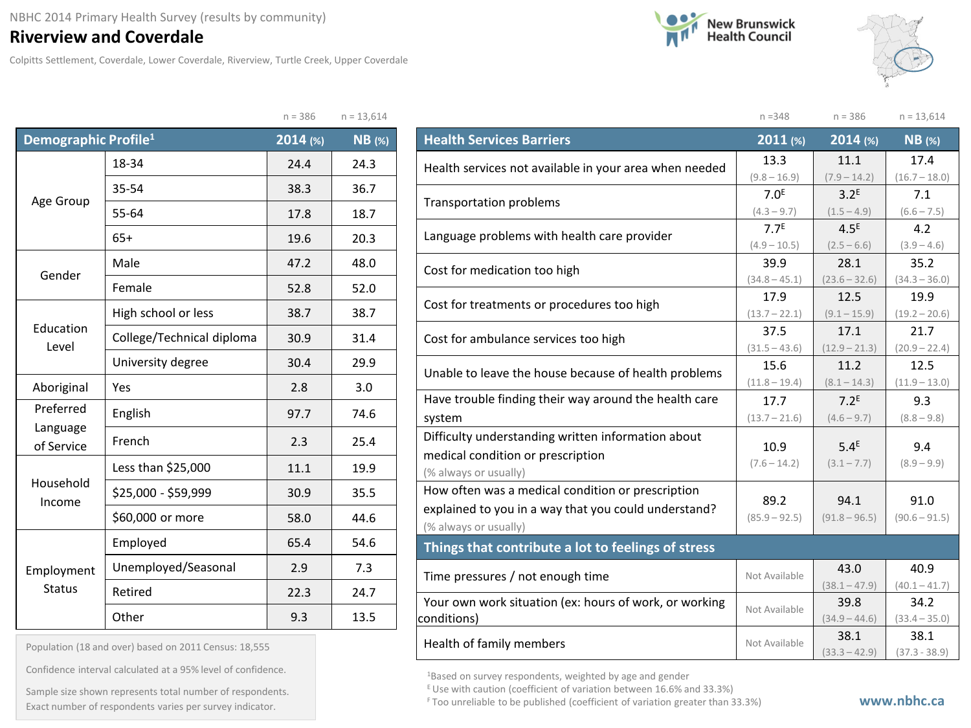## **Riverview and Coverdale**

Colpitts Settlement, Coverdale, Lower Coverdale, Riverview, Turtle Creek, Upper Coverdale





|                                  |                           | $n = 386$ | $n = 13,614$  |         |
|----------------------------------|---------------------------|-----------|---------------|---------|
| Demographic Profile <sup>1</sup> |                           | 2014 (%)  | <b>NB</b> (%) | ŀ       |
|                                  | 18-34                     | 24.4      | 24.3          | ŀ       |
|                                  | 35-54                     | 38.3      | 36.7          |         |
| Age Group                        | 55-64                     | 17.8      | 18.7          | ٦       |
|                                  | $65+$                     | 19.6      | 20.3          | L       |
|                                  | Male                      | 47.2      | 48.0          | C       |
| Gender                           | Female                    | 52.8      | 52.0          |         |
|                                  | High school or less       | 38.7      | 38.7          | C       |
| Education<br>Level               | College/Technical diploma | 30.9      | 31.4          | C       |
|                                  | University degree         | 30.4      | 29.9          |         |
| Aboriginal                       | Yes                       | 2.8       | 3.0           | ŀ       |
| Preferred                        | English                   | 97.7      | 74.6          | S       |
| Language<br>of Service           | French                    | 2.3       | 25.4          | D       |
|                                  | Less than \$25,000        | 11.1      | 19.9          | n<br>(  |
| Household<br>Income              | \$25,000 - \$59,999       | 30.9      | 35.5          | Ë       |
|                                  | \$60,000 or more          | 58.0      | 44.6          | e<br>(' |
|                                  | Employed                  | 65.4      | 54.6          | ī       |
| Employment                       | Unemployed/Seasonal       | 2.9       | 7.3           | T       |
| <b>Status</b>                    | Retired                   | 22.3      | 24.7          | Ý       |
|                                  | Other                     | 9.3       | 13.5          | сc      |

Population (18 and over) based on 2011 Census: 18,555

Confidence interval calculated at a 95% level of confidence.

Exact number of respondents varies per survey indicator. **Exact number of respondents varies per survey** indicator. Sample size shown represents total number of respondents.

|                                                        | $n = 348$               | $n = 386$               | $n = 13,614$            |
|--------------------------------------------------------|-------------------------|-------------------------|-------------------------|
| <b>Health Services Barriers</b>                        | 2011 (%)                | 2014 (%)                | $NB$ (%)                |
| Health services not available in your area when needed | 13.3                    | 11.1                    | 17.4                    |
|                                                        | $(9.8 - 16.9)$          | $(7.9 - 14.2)$          | $(16.7 - 18.0)$         |
| <b>Transportation problems</b>                         | 7.0 <sup>E</sup>        | 3.2 <sup>E</sup>        | 7.1                     |
|                                                        | $(4.3 - 9.7)$           | $(1.5 - 4.9)$           | $(6.6 - 7.5)$           |
| Language problems with health care provider            | 7.7 <sup>E</sup>        | 4.5 <sup>E</sup>        | 4.2                     |
|                                                        | $(4.9 - 10.5)$          | $(2.5 - 6.6)$           | $(3.9 - 4.6)$           |
| Cost for medication too high                           | 39.9                    | 28.1                    | 35.2                    |
|                                                        | $(34.8 - 45.1)$<br>17.9 | $(23.6 - 32.6)$<br>12.5 | $(34.3 - 36.0)$<br>19.9 |
| Cost for treatments or procedures too high             | $(13.7 - 22.1)$         | $(9.1 - 15.9)$          | $(19.2 - 20.6)$         |
|                                                        | 37.5                    | 17.1                    | 21.7                    |
| Cost for ambulance services too high                   | $(31.5 - 43.6)$         | $(12.9 - 21.3)$         | $(20.9 - 22.4)$         |
|                                                        | 15.6                    | 11.2                    | 12.5                    |
| Unable to leave the house because of health problems   | $(11.8 - 19.4)$         | $(8.1 - 14.3)$          | $(11.9 - 13.0)$         |
| Have trouble finding their way around the health care  | 17.7                    | 7.2 <sup>E</sup>        | 9.3                     |
| system                                                 | $(13.7 - 21.6)$         | $(4.6 - 9.7)$           | $(8.8 - 9.8)$           |
| Difficulty understanding written information about     |                         |                         |                         |
| medical condition or prescription                      | 10.9<br>$(7.6 - 14.2)$  | 5.4 <sup>E</sup>        | 9.4                     |
| (% always or usually)                                  |                         | $(3.1 - 7.7)$           | $(8.9 - 9.9)$           |
| How often was a medical condition or prescription      |                         |                         |                         |
| explained to you in a way that you could understand?   | 89.2<br>$(85.9 - 92.5)$ | 94.1<br>$(91.8 - 96.5)$ | 91.0<br>$(90.6 - 91.5)$ |
| (% always or usually)                                  |                         |                         |                         |
| Things that contribute a lot to feelings of stress     |                         |                         |                         |
| Time pressures / not enough time                       | Not Available           | 43.0                    | 40.9                    |
|                                                        |                         | $(38.1 - 47.9)$         | $(40.1 - 41.7)$         |
| Your own work situation (ex: hours of work, or working | Not Available           | 39.8                    | 34.2                    |
| conditions)                                            |                         | $(34.9 - 44.6)$         | $(33.4 - 35.0)$         |
| Health of family members                               | Not Available           | 38.1                    | 38.1                    |
|                                                        |                         | $(33.3 - 42.9)$         | $(37.3 - 38.9)$         |

<sup>1</sup>Based on survey respondents, weighted by age and gender

 $E$  Use with caution (coefficient of variation between 16.6% and 33.3%)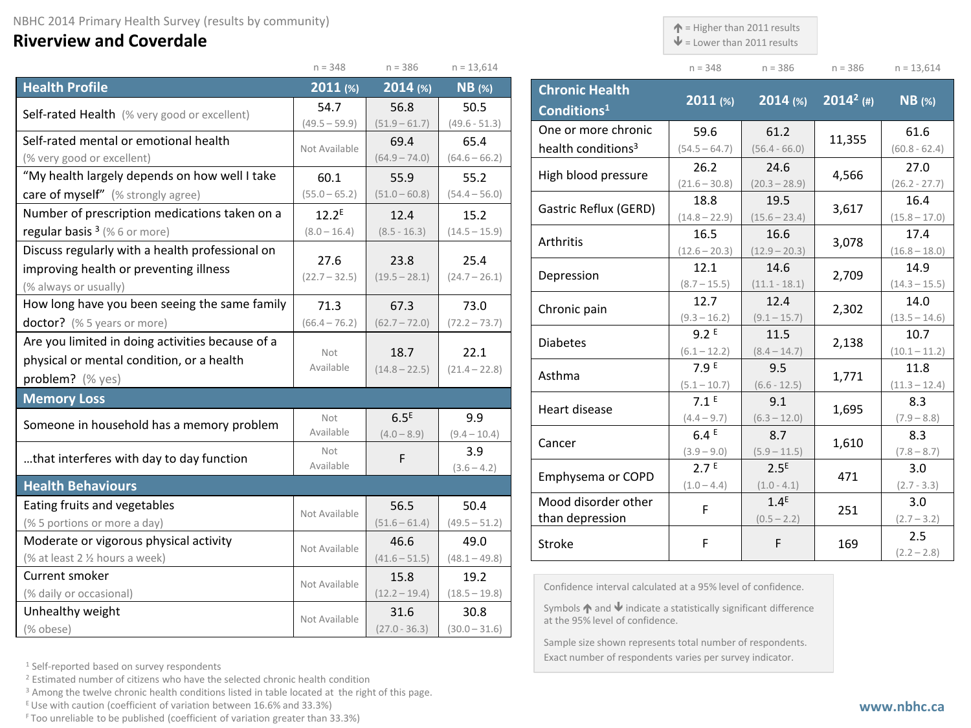## **Riverview and Coverdale**

 $\uparrow$  = Higher than 2011 results

 $\mathbf{\Psi}$  = Lower than 2011 results

| $n = 348$ | $n = 386$ | $n = 386$ | $n = 13.614$ |
|-----------|-----------|-----------|--------------|

|                                                  | $n = 348$         | $n = 386$        | $n = 13,614$    |
|--------------------------------------------------|-------------------|------------------|-----------------|
| <b>Health Profile</b>                            | 2011(%)           | 2014 (%)         | $NB$ (%)        |
| Self-rated Health (% very good or excellent)     | 54.7              | 56.8             | 50.5            |
|                                                  | $(49.5 - 59.9)$   | $(51.9 - 61.7)$  | $(49.6 - 51.3)$ |
| Self-rated mental or emotional health            | Not Available     | 69.4             | 65.4            |
| (% very good or excellent)                       |                   | $(64.9 - 74.0)$  | $(64.6 - 66.2)$ |
| "My health largely depends on how well I take    | 60.1              | 55.9             | 55.2            |
| care of myself" (% strongly agree)               | $(55.0 - 65.2)$   | $(51.0 - 60.8)$  | $(54.4 - 56.0)$ |
| Number of prescription medications taken on a    | 12.2 <sup>E</sup> | 12.4             | 15.2            |
| regular basis <sup>3</sup> (%6 or more)          | $(8.0 - 16.4)$    | $(8.5 - 16.3)$   | $(14.5 - 15.9)$ |
| Discuss regularly with a health professional on  |                   |                  |                 |
| improving health or preventing illness           | 27.6              | 23.8             | 25.4            |
| (% always or usually)                            | $(22.7 - 32.5)$   | $(19.5 - 28.1)$  | $(24.7 - 26.1)$ |
| How long have you been seeing the same family    | 71.3              | 67.3             | 73.0            |
| doctor? (% 5 years or more)                      | $(66.4 - 76.2)$   | $(62.7 - 72.0)$  | $(72.2 - 73.7)$ |
| Are you limited in doing activities because of a |                   |                  |                 |
| physical or mental condition, or a health        | Not<br>Available  | 18.7             | 22.1            |
| problem? (% yes)                                 |                   | $(14.8 - 22.5)$  | $(21.4 - 22.8)$ |
| <b>Memory Loss</b>                               |                   |                  |                 |
| Someone in household has a memory problem        | Not               | 6.5 <sup>E</sup> | 9.9             |
|                                                  | Available         | $(4.0 - 8.9)$    | $(9.4 - 10.4)$  |
| that interferes with day to day function         | Not               | F                | 3.9             |
|                                                  | Available         |                  | $(3.6 - 4.2)$   |
| <b>Health Behaviours</b>                         |                   |                  |                 |
| Eating fruits and vegetables                     | Not Available     | 56.5             | 50.4            |
| (% 5 portions or more a day)                     |                   | $(51.6 - 61.4)$  | $(49.5 - 51.2)$ |
| Moderate or vigorous physical activity           | Not Available     | 46.6             | 49.0            |
| (% at least 2 1/2 hours a week)                  |                   | $(41.6 - 51.5)$  | $(48.1 - 49.8)$ |
| Current smoker                                   | Not Available     | 15.8             | 19.2            |
| (% daily or occasional)                          |                   | $(12.2 - 19.4)$  | $(18.5 - 19.8)$ |
| Unhealthy weight                                 | Not Available     | 31.6             | 30.8            |
| (% obese)                                        |                   | $(27.0 - 36.3)$  | $(30.0 - 31.6)$ |

| <b>Chronic Health</b><br>Conditions <sup>1</sup> | 2011 (%)                | $2014$ (%)              | $2014^2$ (#) | $NB$ (%)                |
|--------------------------------------------------|-------------------------|-------------------------|--------------|-------------------------|
| One or more chronic                              | 59.6                    | 61.2                    | 11,355       | 61.6                    |
| health conditions <sup>3</sup>                   | $(54.5 - 64.7)$         | $(56.4 - 66.0)$         |              | $(60.8 - 62.4)$         |
| High blood pressure                              | 26.2                    | 24.6                    | 4,566        | 27.0                    |
|                                                  | $(21.6 - 30.8)$         | $(20.3 - 28.9)$         |              | $(26.2 - 27.7)$         |
| Gastric Reflux (GERD)                            | 18.8<br>$(14.8 - 22.9)$ | 19.5<br>$(15.6 - 23.4)$ | 3,617        | 16.4<br>$(15.8 - 17.0)$ |
|                                                  | 16.5                    | 16.6                    |              | 17.4                    |
| Arthritis                                        | $(12.6 - 20.3)$         | $(12.9 - 20.3)$         | 3,078        | $(16.8 - 18.0)$         |
| Depression                                       | 12.1                    | 14.6                    | 2,709        | 14.9                    |
|                                                  | $(8.7 - 15.5)$          | $(11.1 - 18.1)$         |              | $(14.3 - 15.5)$         |
| Chronic pain                                     | 12.7                    | 12.4                    | 2,302        | 14.0                    |
|                                                  | $(9.3 - 16.2)$          | $(9.1 - 15.7)$          |              | $(13.5 - 14.6)$         |
| <b>Diabetes</b>                                  | 9.2E                    | 11.5                    | 2,138        | 10.7                    |
|                                                  | $(6.1 - 12.2)$          | $(8.4 - 14.7)$          |              | $(10.1 - 11.2)$         |
| Asthma                                           | 7.9E                    | 9.5                     | 1,771        | 11.8                    |
|                                                  | $(5.1 - 10.7)$          | $(6.6 - 12.5)$          |              | $(11.3 - 12.4)$         |
| Heart disease                                    | 7.1 <sup>E</sup>        | 9.1                     | 1,695        | 8.3                     |
|                                                  | $(4.4 - 9.7)$<br>6.4E   | $(6.3 - 12.0)$<br>8.7   |              | $(7.9 - 8.8)$<br>8.3    |
| Cancer                                           | $(3.9 - 9.0)$           | $(5.9 - 11.5)$          | 1,610        | $(7.8 - 8.7)$           |
|                                                  | 2.7 <sup>E</sup>        | 2.5 <sup>E</sup>        |              | 3.0                     |
| Emphysema or COPD                                | $(1.0 - 4.4)$           | $(1.0 - 4.1)$           | 471          | $(2.7 - 3.3)$           |
| Mood disorder other                              | F                       | 1.4 <sup>E</sup>        | 251          | 3.0                     |
| than depression                                  |                         | $(0.5 - 2.2)$           |              | $(2.7 - 3.2)$           |
| <b>Stroke</b>                                    | F                       | F                       | 169          | 2.5<br>$(2.2 - 2.8)$    |

Confidence interval calculated at a 95% level of confidence.

Symbols  $\bigwedge$  and  $\bigvee$  indicate a statistically significant difference at the 95% level of confidence.

Sample size shown represents total number of respondents. Exact number of respondents varies per survey indicator.

<sup>1</sup> Self-reported based on survey respondents

<sup>2</sup> Estimated number of citizens who have the selected chronic health condition

<sup>3</sup> Among the twelve chronic health conditions listed in table located at the right of this page.

 $E$  Use with caution (coefficient of variation between 16.6% and 33.3%)

F Too unreliable to be published (coefficient of variation greater than 33.3%)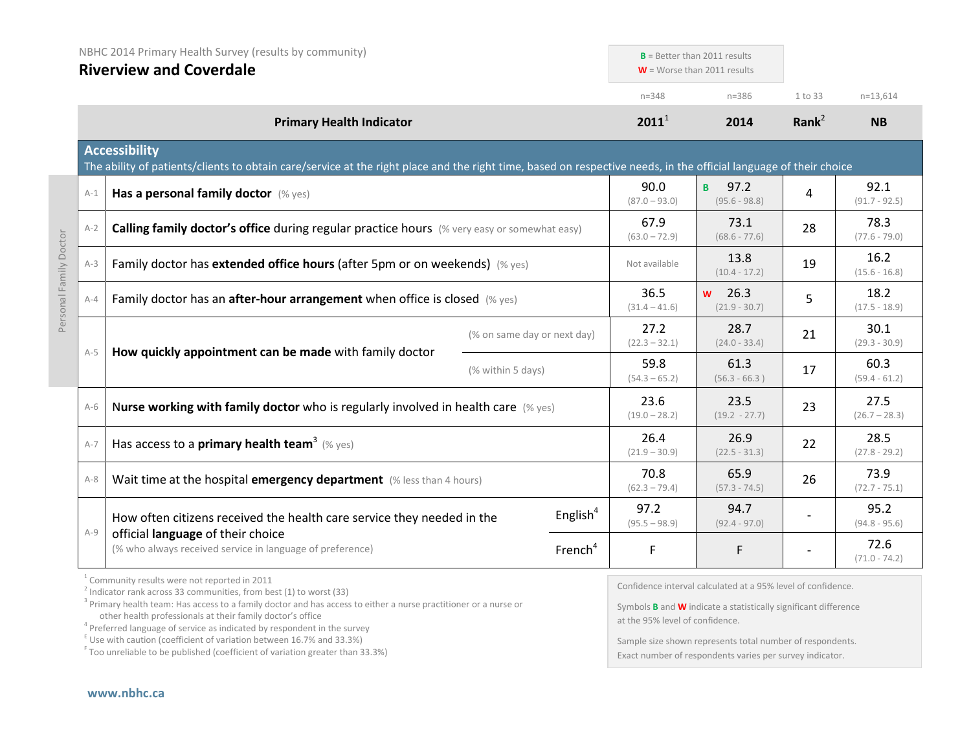| NBHC 2014 Primary Health Survey (results by community)<br><b>Riverview and Coverdale</b> |                                                                                                                                                                                                                                                                            | $B =$ Better than 2011 results<br>$W =$ Worse than 2011 results |                         |                             |                                                                                                                                                                           |                         |                         |
|------------------------------------------------------------------------------------------|----------------------------------------------------------------------------------------------------------------------------------------------------------------------------------------------------------------------------------------------------------------------------|-----------------------------------------------------------------|-------------------------|-----------------------------|---------------------------------------------------------------------------------------------------------------------------------------------------------------------------|-------------------------|-------------------------|
|                                                                                          |                                                                                                                                                                                                                                                                            |                                                                 |                         |                             |                                                                                                                                                                           |                         |                         |
|                                                                                          |                                                                                                                                                                                                                                                                            |                                                                 |                         | $n = 348$                   | $n = 386$                                                                                                                                                                 | 1 to 33                 | $n=13,614$              |
|                                                                                          | <b>Primary Health Indicator</b>                                                                                                                                                                                                                                            |                                                                 |                         | $2011^1$                    | 2014                                                                                                                                                                      | Rank $2$                | <b>NB</b>               |
|                                                                                          | <b>Accessibility</b><br>The ability of patients/clients to obtain care/service at the right place and the right time, based on respective needs, in the official language of their choice                                                                                  |                                                                 |                         |                             |                                                                                                                                                                           |                         |                         |
| $A-1$                                                                                    | Has a personal family doctor (% yes)                                                                                                                                                                                                                                       |                                                                 |                         | 90.0<br>$(87.0 - 93.0)$     | 97.2<br>B.<br>$(95.6 - 98.8)$                                                                                                                                             | 4                       | 92.1<br>$(91.7 - 92.5)$ |
| $A-2$                                                                                    | Calling family doctor's office during regular practice hours (% very easy or somewhat easy)                                                                                                                                                                                |                                                                 |                         | 67.9<br>$(63.0 - 72.9)$     | 73.1<br>$(68.6 - 77.6)$                                                                                                                                                   | 28                      | 78.3<br>$(77.6 - 79.0)$ |
| $A-3$                                                                                    | Family doctor has extended office hours (after 5pm or on weekends) (% yes)                                                                                                                                                                                                 |                                                                 |                         | Not available               | 13.8<br>$(10.4 - 17.2)$                                                                                                                                                   | 19                      | 16.2<br>$(15.6 - 16.8)$ |
| $A-4$                                                                                    | Family doctor has an after-hour arrangement when office is closed (% yes)                                                                                                                                                                                                  |                                                                 | 36.5<br>$(31.4 - 41.6)$ | $w$ 26.3<br>$(21.9 - 30.7)$ | 5                                                                                                                                                                         | 18.2<br>$(17.5 - 18.9)$ |                         |
|                                                                                          |                                                                                                                                                                                                                                                                            | (% on same day or next day)                                     |                         | 27.2<br>$(22.3 - 32.1)$     | 28.7<br>$(24.0 - 33.4)$                                                                                                                                                   | 21                      | 30.1<br>$(29.3 - 30.9)$ |
| $A-5$                                                                                    | How quickly appointment can be made with family doctor<br>(% within 5 days)                                                                                                                                                                                                |                                                                 | 59.8<br>$(54.3 - 65.2)$ | 61.3<br>$(56.3 - 66.3)$     | 17                                                                                                                                                                        | 60.3<br>$(59.4 - 61.2)$ |                         |
| $A-6$                                                                                    | Nurse working with family doctor who is regularly involved in health care (% yes)                                                                                                                                                                                          |                                                                 |                         | 23.6<br>$(19.0 - 28.2)$     | 23.5<br>$(19.2 - 27.7)$                                                                                                                                                   | 23                      | 27.5<br>$(26.7 - 28.3)$ |
| $A-7$                                                                                    | Has access to a <b>primary health team</b> <sup>3</sup> (% yes)                                                                                                                                                                                                            |                                                                 |                         | 26.4<br>$(21.9 - 30.9)$     | 26.9<br>$(22.5 - 31.3)$                                                                                                                                                   | 22                      | 28.5<br>$(27.8 - 29.2)$ |
| $A-8$                                                                                    | Wait time at the hospital emergency department (% less than 4 hours)                                                                                                                                                                                                       |                                                                 |                         | 70.8<br>$(62.3 - 79.4)$     | 65.9<br>$(57.3 - 74.5)$                                                                                                                                                   | 26                      | 73.9<br>$(72.7 - 75.1)$ |
|                                                                                          | How often citizens received the health care service they needed in the                                                                                                                                                                                                     |                                                                 | English $4$             | 97.2<br>$(95.5 - 98.9)$     | 94.7<br>$(92.4 - 97.0)$                                                                                                                                                   |                         | 95.2<br>$(94.8 - 95.6)$ |
| $A-9$                                                                                    | official language of their choice<br>(% who always received service in language of preference)                                                                                                                                                                             |                                                                 | French <sup>4</sup>     | F                           | F                                                                                                                                                                         |                         | 72.6<br>$(71.0 - 74.2)$ |
|                                                                                          | <sup>1</sup> Community results were not reported in 2011<br>$\frac{1}{2}$ Indicator rank across 33 communities, from best (1) to worst (33)<br><sup>3</sup> Drimary hoalth toam: Has accoss to a family doctor and has accoss to oithor a nurso practitioner or a nurso or |                                                                 |                         |                             | Confidence interval calculated at a 95% level of confidence.<br>$\sigma$ is $\mathbf{m}$ in the set of $\mathbf{m}$ is the set of $\mathbf{m}$ in the set of $\mathbf{m}$ |                         |                         |

Primary health team: Has access to a family doctor and has access to either a nurse practitioner or a nurse or a nurse or a nurse or a nurse or a nurse or a nurse or a nurse or a nurse or a nurse or a nurse or a nurse or a

 $4$  Preferred language of service as indicated by respondent in the survey

 $E$  Use with caution (coefficient of variation between 16.7% and 33.3%)

<sup>F</sup> Too unreliable to be published (coefficient of variation greater than 33.3%)

Symbols **B** and **W** indicate a statistically significant difference at the 95% level of confidence.

Sample size shown represents total number of respondents. Exact number of respondents varies per survey indicator.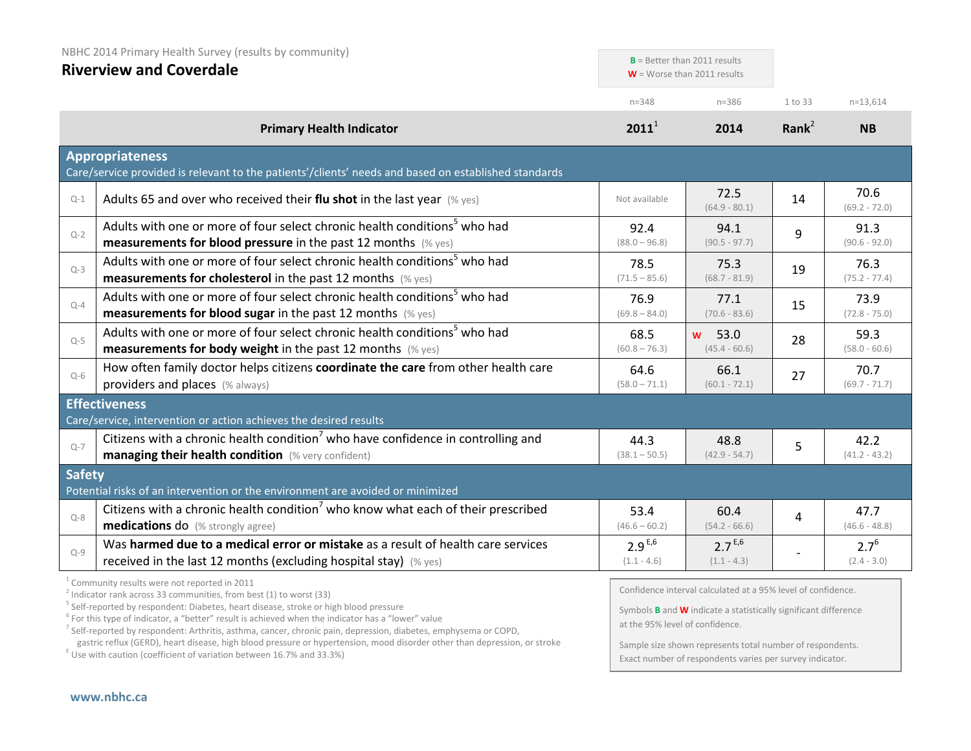| NBHC 2014 Primary Health Survey (results by community)<br><b>Riverview and Coverdale</b> |                                                                                                                                                                                                                                       |                              | $B =$ Better than 2011 results<br>$W =$ Worse than 2011 results                                                                               |          |                            |
|------------------------------------------------------------------------------------------|---------------------------------------------------------------------------------------------------------------------------------------------------------------------------------------------------------------------------------------|------------------------------|-----------------------------------------------------------------------------------------------------------------------------------------------|----------|----------------------------|
|                                                                                          |                                                                                                                                                                                                                                       | $n = 348$                    | $n = 386$                                                                                                                                     | 1 to 33  | $n=13,614$                 |
|                                                                                          | <b>Primary Health Indicator</b>                                                                                                                                                                                                       | $2011^1$                     | 2014                                                                                                                                          | Rank $2$ | <b>NB</b>                  |
|                                                                                          | <b>Appropriateness</b><br>Care/service provided is relevant to the patients'/clients' needs and based on established standards                                                                                                        |                              |                                                                                                                                               |          |                            |
| $Q-1$                                                                                    | Adults 65 and over who received their flu shot in the last year $(\%$ yes)                                                                                                                                                            | Not available                | 72.5<br>$(64.9 - 80.1)$                                                                                                                       | 14       | 70.6<br>$(69.2 - 72.0)$    |
| $Q - 2$                                                                                  | Adults with one or more of four select chronic health conditions <sup>5</sup> who had<br>measurements for blood pressure in the past 12 months (% yes)                                                                                | 92.4<br>$(88.0 - 96.8)$      | 94.1<br>$(90.5 - 97.7)$                                                                                                                       | 9        | 91.3<br>$(90.6 - 92.0)$    |
| $Q-3$                                                                                    | Adults with one or more of four select chronic health conditions <sup>5</sup> who had<br><b>measurements for cholesterol</b> in the past 12 months (% yes)                                                                            | 78.5<br>$(71.5 - 85.6)$      | 75.3<br>$(68.7 - 81.9)$                                                                                                                       | 19       | 76.3<br>$(75.2 - 77.4)$    |
| $Q - 4$                                                                                  | Adults with one or more of four select chronic health conditions <sup>5</sup> who had<br><b>measurements for blood sugar in the past 12 months</b> (% yes)                                                                            | 76.9<br>$(69.8 - 84.0)$      | 77.1<br>$(70.6 - 83.6)$                                                                                                                       | 15       | 73.9<br>$(72.8 - 75.0)$    |
| $Q-5$                                                                                    | Adults with one or more of four select chronic health conditions <sup>5</sup> who had<br><b>measurements for body weight</b> in the past 12 months (% yes)                                                                            | 68.5<br>$(60.8 - 76.3)$      | 53.0<br><b>W</b><br>$(45.4 - 60.6)$                                                                                                           | 28       | 59.3<br>$(58.0 - 60.6)$    |
| $O-6$                                                                                    | How often family doctor helps citizens coordinate the care from other health care<br>providers and places (% always)                                                                                                                  | 64.6<br>$(58.0 - 71.1)$      | 66.1<br>$(60.1 - 72.1)$                                                                                                                       | 27       | 70.7<br>$(69.7 - 71.7)$    |
|                                                                                          | <b>Effectiveness</b>                                                                                                                                                                                                                  |                              |                                                                                                                                               |          |                            |
| $Q-7$                                                                                    | Care/service, intervention or action achieves the desired results<br>Citizens with a chronic health condition <sup>7</sup> who have confidence in controlling and<br>managing their health condition (% very confident)               | 44.3<br>$(38.1 - 50.5)$      | 48.8<br>$(42.9 - 54.7)$                                                                                                                       | 5        | 42.2<br>$(41.2 - 43.2)$    |
| <b>Safety</b>                                                                            | Potential risks of an intervention or the environment are avoided or minimized                                                                                                                                                        |                              |                                                                                                                                               |          |                            |
| $Q - 8$                                                                                  | Citizens with a chronic health condition <sup>7</sup> who know what each of their prescribed<br><b>medications do</b> (% strongly agree)                                                                                              | 53.4<br>$(46.6 - 60.2)$      | 60.4<br>$(54.2 - 66.6)$                                                                                                                       | 4        | 47.7<br>$(46.6 - 48.8)$    |
| $Q - 9$                                                                                  | Was harmed due to a medical error or mistake as a result of health care services<br>received in the last 12 months (excluding hospital stay) (% yes)                                                                                  | $2.9^{E,6}$<br>$(1.1 - 4.6)$ | $2.7^{E,6}$<br>$(1.1 - 4.3)$                                                                                                                  |          | $2.7^{6}$<br>$(2.4 - 3.0)$ |
|                                                                                          | <sup>1</sup> Community results were not reported in 2011<br>$3$ Indicator rank across 33 communities, from best (1) to worst (33)<br><sup>5</sup> Self-reported by respondent: Diabetes, heart disease, stroke or high blood pressure |                              | Confidence interval calculated at a 95% level of confidence.<br>Symbols <b>B</b> and <b>W</b> indicate a statistically significant difference |          |                            |

 $6$  For this type of indicator, a "better" result is achieved when the indicator has a "lower" value

<sup>7</sup> Self-reported by respondent: Arthritis, asthma, cancer, chronic pain, depression, diabetes, emphysema or COPD,

gastric reflux (GERD), heart disease, high blood pressure or hypertension, mood disorder other than depression, or stroke E Use with caution (coefficient of variation between 16.7% and 33.3%)

Symbols **B** and **W** indicate a statistically significant difference at the 95% level of confidence.

Sample size shown represents total number of respondents. Exact number of respondents varies per survey indicator.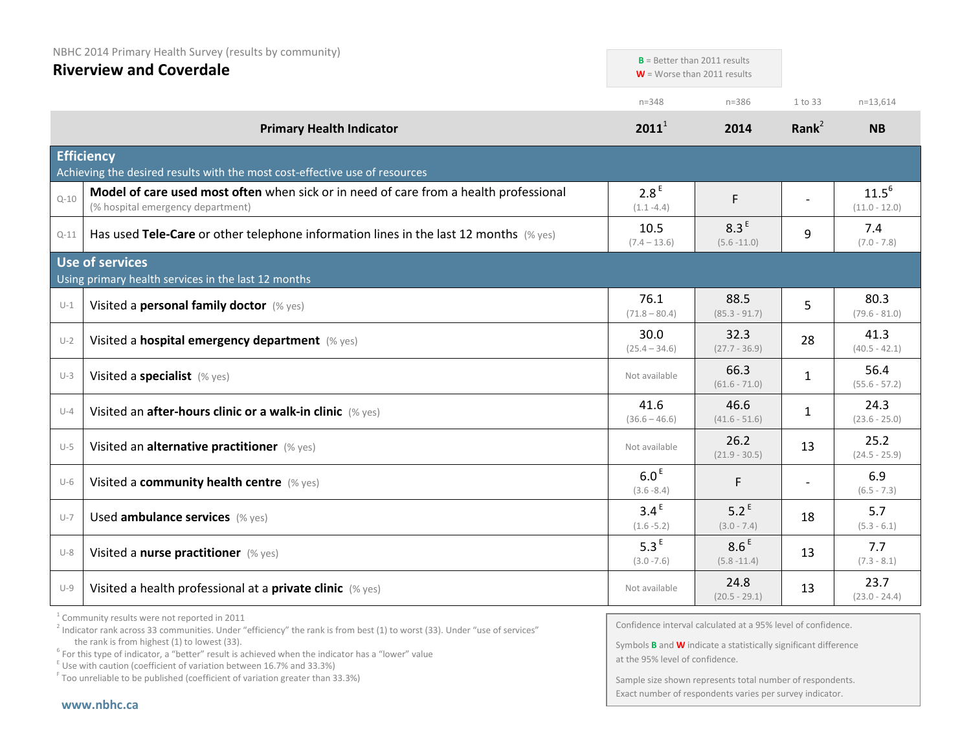| NBHC 2014 Primary Health Survey (results by community)<br><b>Riverview and Coverdale</b> |                                                                                                                            |                                   | $B =$ Better than 2011 results<br>$W =$ Worse than 2011 results |                          |                               |
|------------------------------------------------------------------------------------------|----------------------------------------------------------------------------------------------------------------------------|-----------------------------------|-----------------------------------------------------------------|--------------------------|-------------------------------|
|                                                                                          |                                                                                                                            | $n = 348$                         | $n = 386$                                                       | 1 to 33                  | $n = 13,614$                  |
|                                                                                          | <b>Primary Health Indicator</b>                                                                                            | $2011^1$                          | 2014                                                            | Rank $^2$                | <b>NB</b>                     |
|                                                                                          | <b>Efficiency</b><br>Achieving the desired results with the most cost-effective use of resources                           |                                   |                                                                 |                          |                               |
| $Q - 10$                                                                                 | Model of care used most often when sick or in need of care from a health professional<br>(% hospital emergency department) | 2.8 <sup>E</sup><br>$(1.1 - 4.4)$ | F                                                               |                          | $11.5^{6}$<br>$(11.0 - 12.0)$ |
| $Q-11$                                                                                   | Has used Tele-Care or other telephone information lines in the last 12 months $(\%$ yes)                                   | 10.5<br>$(7.4 - 13.6)$            | 8.3 <sup>E</sup><br>$(5.6 - 11.0)$                              | 9                        | 7.4<br>$(7.0 - 7.8)$          |
|                                                                                          | Use of services<br>Using primary health services in the last 12 months                                                     |                                   |                                                                 |                          |                               |
| $U-1$                                                                                    | Visited a personal family doctor (% yes)                                                                                   | 76.1<br>$(71.8 - 80.4)$           | 88.5<br>$(85.3 - 91.7)$                                         | 5                        | 80.3<br>$(79.6 - 81.0)$       |
| $U-2$                                                                                    | Visited a hospital emergency department (% yes)                                                                            | 30.0<br>$(25.4 - 34.6)$           | 32.3<br>$(27.7 - 36.9)$                                         | 28                       | 41.3<br>$(40.5 - 42.1)$       |
| $U-3$                                                                                    | Visited a specialist (% yes)                                                                                               | Not available                     | 66.3<br>$(61.6 - 71.0)$                                         | $\mathbf{1}$             | 56.4<br>$(55.6 - 57.2)$       |
| $U-4$                                                                                    | Visited an after-hours clinic or a walk-in clinic (% yes)                                                                  | 41.6<br>$(36.6 - 46.6)$           | 46.6<br>$(41.6 - 51.6)$                                         | $\mathbf{1}$             | 24.3<br>$(23.6 - 25.0)$       |
| $U-5$                                                                                    | Visited an alternative practitioner (% yes)                                                                                | Not available                     | 26.2<br>$(21.9 - 30.5)$                                         | 13                       | 25.2<br>$(24.5 - 25.9)$       |
| $U-6$                                                                                    | Visited a community health centre (% yes)                                                                                  | 6.0 <sup>E</sup><br>$(3.6 - 8.4)$ | F                                                               | $\overline{\phantom{a}}$ | 6.9<br>$(6.5 - 7.3)$          |
| $U-7$                                                                                    | Used ambulance services (% yes)                                                                                            | 3.4 <sup>E</sup><br>$(1.6 - 5.2)$ | $5.2^E$<br>$(3.0 - 7.4)$                                        | 18                       | 5.7<br>$(5.3 - 6.1)$          |
| $U-8$                                                                                    | Visited a nurse practitioner (% yes)                                                                                       | 5.3 <sup>E</sup><br>$(3.0 - 7.6)$ | 8.6 <sup>E</sup><br>$(5.8 - 11.4)$                              | 13                       | 7.7<br>$(7.3 - 8.1)$          |
| $U-9$                                                                                    | Visited a health professional at a private clinic (% yes)                                                                  | Not available                     | 24.8<br>$(20.5 - 29.1)$                                         | 13                       | 23.7<br>$(23.0 - 24.4)$       |

<sup>1</sup> Community results were not reported in 2011

Confidence interval calculated at a 95% level of confidence.

Symbols **B** and **W** indicate a statistically significant difference at the 95% level of confidence.

Sample size shown represents total number of respondents. Exact number of respondents varies per survey indicator.

<sup>&</sup>lt;sup>2</sup> Indicator rank across 33 communities. Under "efficiency" the rank is from best (1) to worst (33). Under "use of services" the rank is from highest (1) to lowest (33).

the rank is from highest (1) to lowest (33).<br><sup>6</sup> For this type of indicator, a "better" result is achieved when the indicator has a "lower" value

 $E$  Use with caution (coefficient of variation between 16.7% and 33.3%)

<sup>F</sup> Too unreliable to be published (coefficient of variation greater than 33.3%)